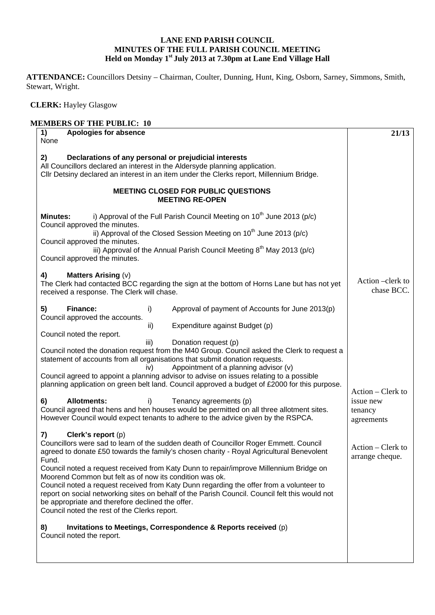## **LANE END PARISH COUNCIL MINUTES OF THE FULL PARISH COUNCIL MEETING Held on Monday 1st July 2013 at 7.30pm at Lane End Village Hall**

**ATTENDANCE:** Councillors Detsiny – Chairman, Coulter, Dunning, Hunt, King, Osborn, Sarney, Simmons, Smith, Stewart, Wright.

 **CLERK:** Hayley Glasgow

## **MEMBERS OF THE PUBLIC: 10**

| None                                                                                                                                                                                                                                                                                                                                                                                                                                                                                                                                                                                                                                                                                                                                                                              |                                      |
|-----------------------------------------------------------------------------------------------------------------------------------------------------------------------------------------------------------------------------------------------------------------------------------------------------------------------------------------------------------------------------------------------------------------------------------------------------------------------------------------------------------------------------------------------------------------------------------------------------------------------------------------------------------------------------------------------------------------------------------------------------------------------------------|--------------------------------------|
|                                                                                                                                                                                                                                                                                                                                                                                                                                                                                                                                                                                                                                                                                                                                                                                   |                                      |
| 2)<br>Declarations of any personal or prejudicial interests<br>All Councillors declared an interest in the Aldersyde planning application.<br>Cllr Detsiny declared an interest in an item under the Clerks report, Millennium Bridge.                                                                                                                                                                                                                                                                                                                                                                                                                                                                                                                                            |                                      |
| <b>MEETING CLOSED FOR PUBLIC QUESTIONS</b><br><b>MEETING RE-OPEN</b>                                                                                                                                                                                                                                                                                                                                                                                                                                                                                                                                                                                                                                                                                                              |                                      |
| i) Approval of the Full Parish Council Meeting on 10 <sup>th</sup> June 2013 (p/c)<br><b>Minutes:</b><br>Council approved the minutes.<br>ii) Approval of the Closed Session Meeting on 10 <sup>th</sup> June 2013 (p/c)<br>Council approved the minutes.<br>iii) Approval of the Annual Parish Council Meeting $8^{th}$ May 2013 (p/c)                                                                                                                                                                                                                                                                                                                                                                                                                                           |                                      |
| Council approved the minutes.                                                                                                                                                                                                                                                                                                                                                                                                                                                                                                                                                                                                                                                                                                                                                     |                                      |
| <b>Matters Arising (v)</b><br>4)<br>The Clerk had contacted BCC regarding the sign at the bottom of Horns Lane but has not yet<br>received a response. The Clerk will chase.                                                                                                                                                                                                                                                                                                                                                                                                                                                                                                                                                                                                      | Action –clerk to<br>chase BCC.       |
| Finance:<br>5)<br>Approval of payment of Accounts for June 2013(p)<br>i)<br>Council approved the accounts.                                                                                                                                                                                                                                                                                                                                                                                                                                                                                                                                                                                                                                                                        |                                      |
| Expenditure against Budget (p)<br>ii)<br>Council noted the report.                                                                                                                                                                                                                                                                                                                                                                                                                                                                                                                                                                                                                                                                                                                |                                      |
| Donation request (p)<br>iii)<br>Council noted the donation request from the M40 Group. Council asked the Clerk to request a<br>statement of accounts from all organisations that submit donation requests.<br>Appointment of a planning advisor (v)<br>iv)<br>Council agreed to appoint a planning advisor to advise on issues relating to a possible<br>planning application on green belt land. Council approved a budget of £2000 for this purpose.                                                                                                                                                                                                                                                                                                                            | Action – Clerk to                    |
| 6)<br><b>Allotments:</b><br>i)<br>Tenancy agreements (p)<br>Council agreed that hens and hen houses would be permitted on all three allotment sites.<br>However Council would expect tenants to adhere to the advice given by the RSPCA.                                                                                                                                                                                                                                                                                                                                                                                                                                                                                                                                          | issue new<br>tenancy<br>agreements   |
| Clerk's report (p)<br>7)<br>Councillors were sad to learn of the sudden death of Councillor Roger Emmett. Council<br>agreed to donate £50 towards the family's chosen charity - Royal Agricultural Benevolent<br>Fund.<br>Council noted a request received from Katy Dunn to repair/improve Millennium Bridge on<br>Moorend Common but felt as of now its condition was ok.<br>Council noted a request received from Katy Dunn regarding the offer from a volunteer to<br>report on social networking sites on behalf of the Parish Council. Council felt this would not<br>be appropriate and therefore declined the offer.<br>Council noted the rest of the Clerks report.<br>Invitations to Meetings, Correspondence & Reports received (p)<br>8)<br>Council noted the report. | Action – Clerk to<br>arrange cheque. |